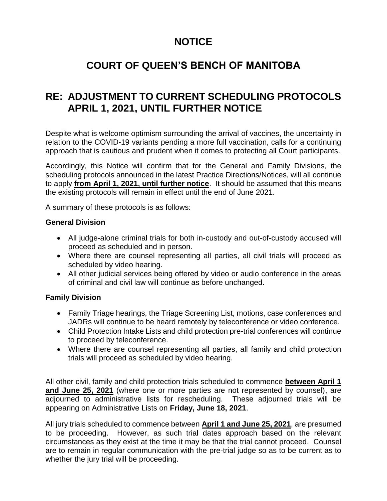# **NOTICE**

# **COURT OF QUEEN'S BENCH OF MANITOBA**

## **RE: ADJUSTMENT TO CURRENT SCHEDULING PROTOCOLS APRIL 1, 2021, UNTIL FURTHER NOTICE**

Despite what is welcome optimism surrounding the arrival of vaccines, the uncertainty in relation to the COVID-19 variants pending a more full vaccination, calls for a continuing approach that is cautious and prudent when it comes to protecting all Court participants.

Accordingly, this Notice will confirm that for the General and Family Divisions, the scheduling protocols announced in the latest Practice Directions/Notices, will all continue to apply **from April 1, 2021, until further notice**. It should be assumed that this means the existing protocols will remain in effect until the end of June 2021.

A summary of these protocols is as follows:

### **General Division**

- All judge-alone criminal trials for both in-custody and out-of-custody accused will proceed as scheduled and in person.
- Where there are counsel representing all parties, all civil trials will proceed as scheduled by video hearing.
- All other judicial services being offered by video or audio conference in the areas of criminal and civil law will continue as before unchanged.

## **Family Division**

- Family Triage hearings, the Triage Screening List, motions, case conferences and JADRs will continue to be heard remotely by teleconference or video conference.
- Child Protection Intake Lists and child protection pre-trial conferences will continue to proceed by teleconference.
- Where there are counsel representing all parties, all family and child protection trials will proceed as scheduled by video hearing.

All other civil, family and child protection trials scheduled to commence **between April 1 and June 25, 2021** (where one or more parties are not represented by counsel), are adjourned to administrative lists for rescheduling. These adjourned trials will be appearing on Administrative Lists on **Friday, June 18, 2021**.

All jury trials scheduled to commence between **April 1 and June 25, 2021**, are presumed to be proceeding. However, as such trial dates approach based on the relevant circumstances as they exist at the time it may be that the trial cannot proceed. Counsel are to remain in regular communication with the pre-trial judge so as to be current as to whether the jury trial will be proceeding.